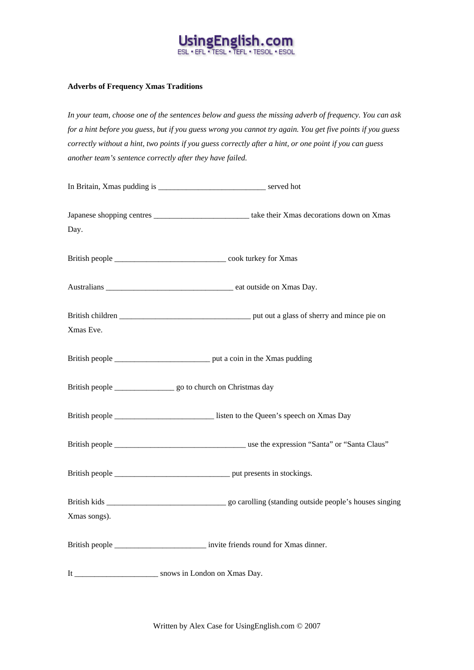

## **Adverbs of Frequency Xmas Traditions**

*In your team, choose one of the sentences below and guess the missing adverb of frequency. You can ask for a hint before you guess, but if you guess wrong you cannot try again. You get five points if you guess correctly without a hint, two points if you guess correctly after a hint, or one point if you can guess another team's sentence correctly after they have failed.* 

| Day.         |                                                                                       |
|--------------|---------------------------------------------------------------------------------------|
|              |                                                                                       |
|              |                                                                                       |
|              |                                                                                       |
|              |                                                                                       |
| Xmas Eve.    |                                                                                       |
|              |                                                                                       |
|              |                                                                                       |
|              |                                                                                       |
|              |                                                                                       |
|              |                                                                                       |
|              |                                                                                       |
| Xmas songs). |                                                                                       |
|              | British people ________________________________ invite friends round for Xmas dinner. |
|              | It ___________________________ snows in London on Xmas Day.                           |